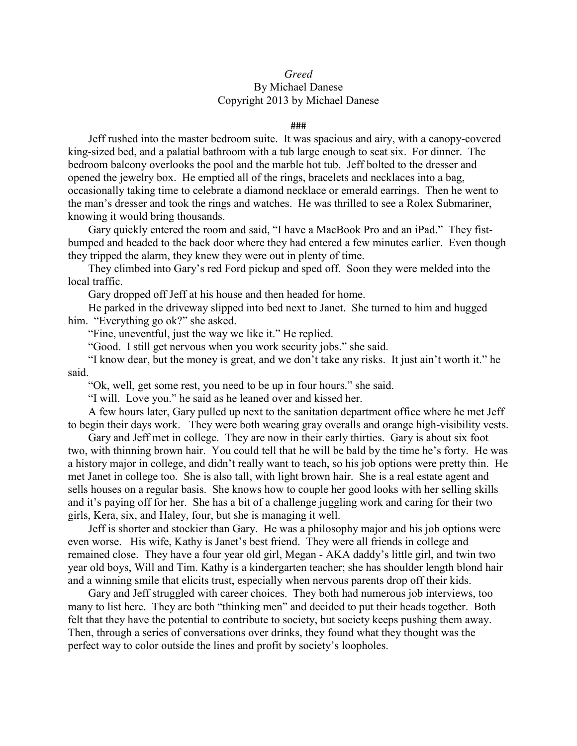## *Greed* By Michael Danese

## Copyright 2013 by Michael Danese

## ###

Jeff rushed into the master bedroom suite. It was spacious and airy, with a canopy-covered king-sized bed, and a palatial bathroom with a tub large enough to seat six. For dinner. The bedroom balcony overlooks the pool and the marble hot tub. Jeff bolted to the dresser and opened the jewelry box. He emptied all of the rings, bracelets and necklaces into a bag, occasionally taking time to celebrate a diamond necklace or emerald earrings. Then he went to the man's dresser and took the rings and watches. He was thrilled to see a Rolex Submariner, knowing it would bring thousands.

Gary quickly entered the room and said, "I have a MacBook Pro and an iPad." They fistbumped and headed to the back door where they had entered a few minutes earlier. Even though they tripped the alarm, they knew they were out in plenty of time.

They climbed into Gary's red Ford pickup and sped off. Soon they were melded into the local traffic.

Gary dropped off Jeff at his house and then headed for home.

He parked in the driveway slipped into bed next to Janet. She turned to him and hugged him. "Everything go ok?" she asked.

"Fine, uneventful, just the way we like it." He replied.

"Good. I still get nervous when you work security jobs." she said.

"I know dear, but the money is great, and we don't take any risks. It just ain't worth it." he said.

"Ok, well, get some rest, you need to be up in four hours." she said.

"I will. Love you." he said as he leaned over and kissed her.

A few hours later, Gary pulled up next to the sanitation department office where he met Jeff to begin their days work. They were both wearing gray overalls and orange high-visibility vests.

Gary and Jeff met in college. They are now in their early thirties. Gary is about six foot two, with thinning brown hair. You could tell that he will be bald by the time he's forty. He was a history major in college, and didn't really want to teach, so his job options were pretty thin. He met Janet in college too. She is also tall, with light brown hair. She is a real estate agent and sells houses on a regular basis. She knows how to couple her good looks with her selling skills and it's paying off for her. She has a bit of a challenge juggling work and caring for their two girls, Kera, six, and Haley, four, but she is managing it well.

Jeff is shorter and stockier than Gary. He was a philosophy major and his job options were even worse. His wife, Kathy is Janet's best friend. They were all friends in college and remained close. They have a four year old girl, Megan - AKA daddy's little girl, and twin two year old boys, Will and Tim. Kathy is a kindergarten teacher; she has shoulder length blond hair and a winning smile that elicits trust, especially when nervous parents drop off their kids.

Gary and Jeff struggled with career choices. They both had numerous job interviews, too many to list here. They are both "thinking men" and decided to put their heads together. Both felt that they have the potential to contribute to society, but society keeps pushing them away. Then, through a series of conversations over drinks, they found what they thought was the perfect way to color outside the lines and profit by society's loopholes.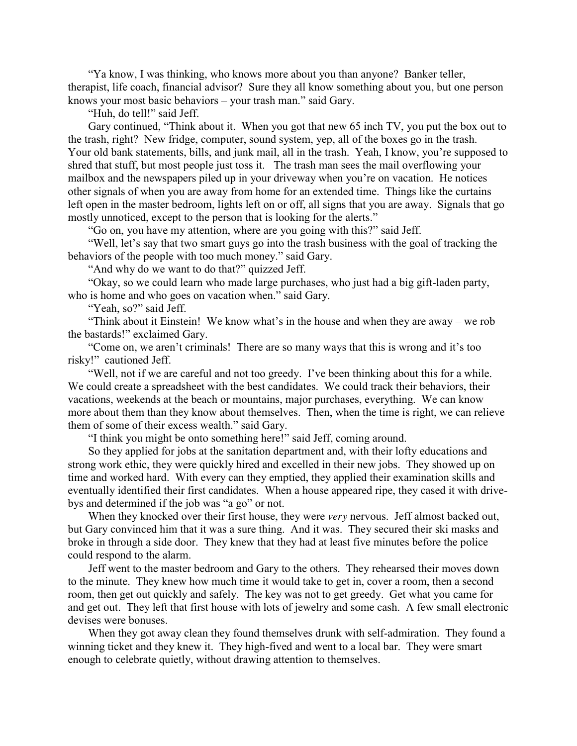"Ya know, I was thinking, who knows more about you than anyone? Banker teller, therapist, life coach, financial advisor? Sure they all know something about you, but one person knows your most basic behaviors – your trash man." said Gary.

"Huh, do tell!" said Jeff.

Gary continued, "Think about it. When you got that new 65 inch TV, you put the box out to the trash, right? New fridge, computer, sound system, yep, all of the boxes go in the trash. Your old bank statements, bills, and junk mail, all in the trash. Yeah, I know, you're supposed to shred that stuff, but most people just toss it. The trash man sees the mail overflowing your mailbox and the newspapers piled up in your driveway when you're on vacation. He notices other signals of when you are away from home for an extended time. Things like the curtains left open in the master bedroom, lights left on or off, all signs that you are away. Signals that go mostly unnoticed, except to the person that is looking for the alerts."

"Go on, you have my attention, where are you going with this?" said Jeff.

"Well, let's say that two smart guys go into the trash business with the goal of tracking the behaviors of the people with too much money." said Gary.

"And why do we want to do that?" quizzed Jeff.

"Okay, so we could learn who made large purchases, who just had a big gift-laden party, who is home and who goes on vacation when." said Gary.

"Yeah, so?" said Jeff.

"Think about it Einstein! We know what's in the house and when they are away – we rob the bastards!" exclaimed Gary.

"Come on, we aren't criminals! There are so many ways that this is wrong and it's too risky!" cautioned Jeff.

"Well, not if we are careful and not too greedy. I've been thinking about this for a while. We could create a spreadsheet with the best candidates. We could track their behaviors, their vacations, weekends at the beach or mountains, major purchases, everything. We can know more about them than they know about themselves. Then, when the time is right, we can relieve them of some of their excess wealth." said Gary.

"I think you might be onto something here!" said Jeff, coming around.

So they applied for jobs at the sanitation department and, with their lofty educations and strong work ethic, they were quickly hired and excelled in their new jobs. They showed up on time and worked hard. With every can they emptied, they applied their examination skills and eventually identified their first candidates. When a house appeared ripe, they cased it with drivebys and determined if the job was "a go" or not.

When they knocked over their first house, they were *very* nervous. Jeff almost backed out, but Gary convinced him that it was a sure thing. And it was. They secured their ski masks and broke in through a side door. They knew that they had at least five minutes before the police could respond to the alarm.

Jeff went to the master bedroom and Gary to the others. They rehearsed their moves down to the minute. They knew how much time it would take to get in, cover a room, then a second room, then get out quickly and safely. The key was not to get greedy. Get what you came for and get out. They left that first house with lots of jewelry and some cash. A few small electronic devises were bonuses.

When they got away clean they found themselves drunk with self-admiration. They found a winning ticket and they knew it. They high-fived and went to a local bar. They were smart enough to celebrate quietly, without drawing attention to themselves.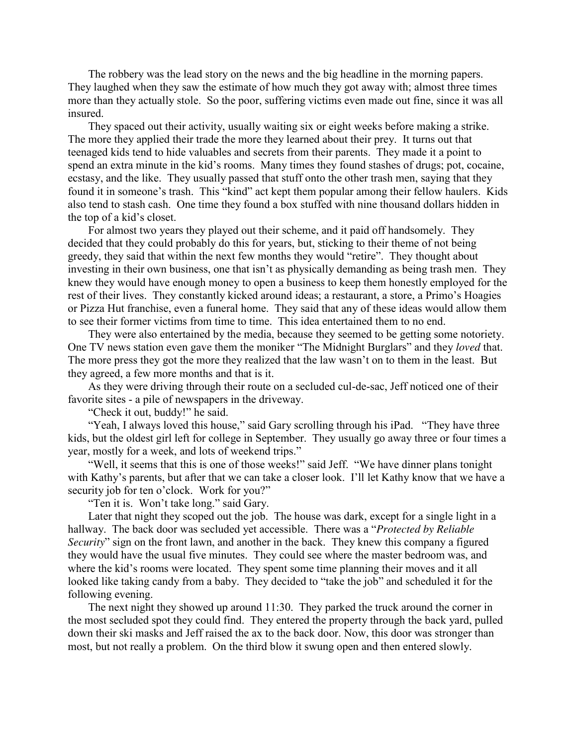The robbery was the lead story on the news and the big headline in the morning papers. They laughed when they saw the estimate of how much they got away with; almost three times more than they actually stole. So the poor, suffering victims even made out fine, since it was all insured.

They spaced out their activity, usually waiting six or eight weeks before making a strike. The more they applied their trade the more they learned about their prey. It turns out that teenaged kids tend to hide valuables and secrets from their parents. They made it a point to spend an extra minute in the kid's rooms. Many times they found stashes of drugs; pot, cocaine, ecstasy, and the like. They usually passed that stuff onto the other trash men, saying that they found it in someone's trash. This "kind" act kept them popular among their fellow haulers. Kids also tend to stash cash. One time they found a box stuffed with nine thousand dollars hidden in the top of a kid's closet.

For almost two years they played out their scheme, and it paid off handsomely. They decided that they could probably do this for years, but, sticking to their theme of not being greedy, they said that within the next few months they would "retire". They thought about investing in their own business, one that isn't as physically demanding as being trash men. They knew they would have enough money to open a business to keep them honestly employed for the rest of their lives. They constantly kicked around ideas; a restaurant, a store, a Primo's Hoagies or Pizza Hut franchise, even a funeral home. They said that any of these ideas would allow them to see their former victims from time to time. This idea entertained them to no end.

They were also entertained by the media, because they seemed to be getting some notoriety. One TV news station even gave them the moniker "The Midnight Burglars" and they *loved* that. The more press they got the more they realized that the law wasn't on to them in the least. But they agreed, a few more months and that is it.

As they were driving through their route on a secluded cul-de-sac, Jeff noticed one of their favorite sites - a pile of newspapers in the driveway.

"Check it out, buddy!" he said.

"Yeah, I always loved this house," said Gary scrolling through his iPad. "They have three kids, but the oldest girl left for college in September. They usually go away three or four times a year, mostly for a week, and lots of weekend trips."

"Well, it seems that this is one of those weeks!" said Jeff. "We have dinner plans tonight with Kathy's parents, but after that we can take a closer look. I'll let Kathy know that we have a security job for ten o'clock. Work for you?"

"Ten it is. Won't take long." said Gary.

Later that night they scoped out the job. The house was dark, except for a single light in a hallway. The back door was secluded yet accessible. There was a "*Protected by Reliable Security*" sign on the front lawn, and another in the back. They knew this company a figured they would have the usual five minutes. They could see where the master bedroom was, and where the kid's rooms were located. They spent some time planning their moves and it all looked like taking candy from a baby. They decided to "take the job" and scheduled it for the following evening.

The next night they showed up around 11:30. They parked the truck around the corner in the most secluded spot they could find. They entered the property through the back yard, pulled down their ski masks and Jeff raised the ax to the back door. Now, this door was stronger than most, but not really a problem. On the third blow it swung open and then entered slowly.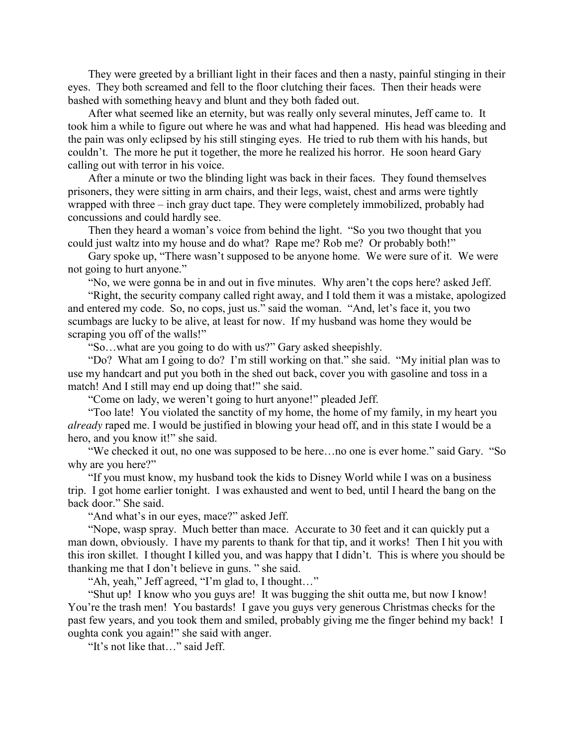They were greeted by a brilliant light in their faces and then a nasty, painful stinging in their eyes. They both screamed and fell to the floor clutching their faces. Then their heads were bashed with something heavy and blunt and they both faded out.

After what seemed like an eternity, but was really only several minutes, Jeff came to. It took him a while to figure out where he was and what had happened. His head was bleeding and the pain was only eclipsed by his still stinging eyes. He tried to rub them with his hands, but couldn't. The more he put it together, the more he realized his horror. He soon heard Gary calling out with terror in his voice.

After a minute or two the blinding light was back in their faces. They found themselves prisoners, they were sitting in arm chairs, and their legs, waist, chest and arms were tightly wrapped with three – inch gray duct tape. They were completely immobilized, probably had concussions and could hardly see.

Then they heard a woman's voice from behind the light. "So you two thought that you could just waltz into my house and do what? Rape me? Rob me? Or probably both!"

Gary spoke up, "There wasn't supposed to be anyone home. We were sure of it. We were not going to hurt anyone."

"No, we were gonna be in and out in five minutes. Why aren't the cops here? asked Jeff.

"Right, the security company called right away, and I told them it was a mistake, apologized and entered my code. So, no cops, just us." said the woman. "And, let's face it, you two scumbags are lucky to be alive, at least for now. If my husband was home they would be scraping you off of the walls!"

"So…what are you going to do with us?" Gary asked sheepishly.

"Do? What am I going to do? I'm still working on that." she said. "My initial plan was to use my handcart and put you both in the shed out back, cover you with gasoline and toss in a match! And I still may end up doing that!" she said.

"Come on lady, we weren't going to hurt anyone!" pleaded Jeff.

"Too late! You violated the sanctity of my home, the home of my family, in my heart you *already* raped me. I would be justified in blowing your head off, and in this state I would be a hero, and you know it!" she said.

"We checked it out, no one was supposed to be here…no one is ever home." said Gary. "So why are you here?"

"If you must know, my husband took the kids to Disney World while I was on a business trip. I got home earlier tonight. I was exhausted and went to bed, until I heard the bang on the back door." She said.

"And what's in our eyes, mace?" asked Jeff.

"Nope, wasp spray. Much better than mace. Accurate to 30 feet and it can quickly put a man down, obviously. I have my parents to thank for that tip, and it works! Then I hit you with this iron skillet. I thought I killed you, and was happy that I didn't. This is where you should be thanking me that I don't believe in guns. " she said.

"Ah, yeah," Jeff agreed, "I'm glad to, I thought…"

"Shut up! I know who you guys are! It was bugging the shit outta me, but now I know! You're the trash men! You bastards! I gave you guys very generous Christmas checks for the past few years, and you took them and smiled, probably giving me the finger behind my back! I oughta conk you again!" she said with anger.

"It's not like that…" said Jeff.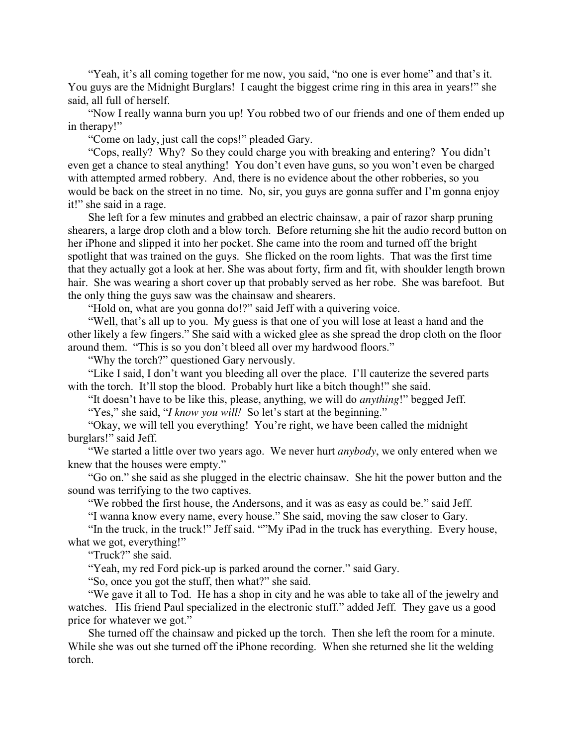"Yeah, it's all coming together for me now, you said, "no one is ever home" and that's it. You guys are the Midnight Burglars! I caught the biggest crime ring in this area in years!" she said, all full of herself.

"Now I really wanna burn you up! You robbed two of our friends and one of them ended up in therapy!"

"Come on lady, just call the cops!" pleaded Gary.

"Cops, really? Why? So they could charge you with breaking and entering? You didn't even get a chance to steal anything! You don't even have guns, so you won't even be charged with attempted armed robbery. And, there is no evidence about the other robberies, so you would be back on the street in no time. No, sir, you guys are gonna suffer and I'm gonna enjoy it!" she said in a rage.

She left for a few minutes and grabbed an electric chainsaw, a pair of razor sharp pruning shearers, a large drop cloth and a blow torch. Before returning she hit the audio record button on her iPhone and slipped it into her pocket. She came into the room and turned off the bright spotlight that was trained on the guys. She flicked on the room lights. That was the first time that they actually got a look at her. She was about forty, firm and fit, with shoulder length brown hair. She was wearing a short cover up that probably served as her robe. She was barefoot. But the only thing the guys saw was the chainsaw and shearers.

"Hold on, what are you gonna do!?" said Jeff with a quivering voice.

"Well, that's all up to you. My guess is that one of you will lose at least a hand and the other likely a few fingers." She said with a wicked glee as she spread the drop cloth on the floor around them. "This is so you don't bleed all over my hardwood floors."

"Why the torch?" questioned Gary nervously.

"Like I said, I don't want you bleeding all over the place. I'll cauterize the severed parts with the torch. It'll stop the blood. Probably hurt like a bitch though!" she said.

"It doesn't have to be like this, please, anything, we will do *anything*!" begged Jeff.

"Yes," she said, "*I know you will!* So let's start at the beginning."

"Okay, we will tell you everything! You're right, we have been called the midnight burglars!" said Jeff.

"We started a little over two years ago. We never hurt *anybody*, we only entered when we knew that the houses were empty."

"Go on." she said as she plugged in the electric chainsaw. She hit the power button and the sound was terrifying to the two captives.

"We robbed the first house, the Andersons, and it was as easy as could be." said Jeff.

"I wanna know every name, every house." She said, moving the saw closer to Gary.

"In the truck, in the truck!" Jeff said. ""My iPad in the truck has everything. Every house, what we got, everything!"

"Truck?" she said.

"Yeah, my red Ford pick-up is parked around the corner." said Gary.

"So, once you got the stuff, then what?" she said.

"We gave it all to Tod. He has a shop in city and he was able to take all of the jewelry and watches. His friend Paul specialized in the electronic stuff." added Jeff. They gave us a good price for whatever we got."

She turned off the chainsaw and picked up the torch. Then she left the room for a minute. While she was out she turned off the iPhone recording. When she returned she lit the welding torch.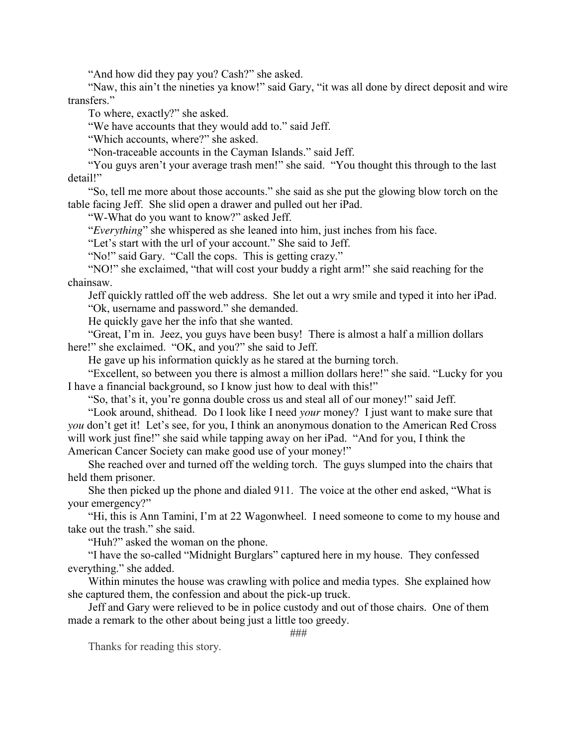"And how did they pay you? Cash?" she asked.

"Naw, this ain't the nineties ya know!" said Gary, "it was all done by direct deposit and wire transfers."

To where, exactly?" she asked.

"We have accounts that they would add to." said Jeff.

"Which accounts, where?" she asked.

"Non-traceable accounts in the Cayman Islands." said Jeff.

"You guys aren't your average trash men!" she said. "You thought this through to the last detail!"

"So, tell me more about those accounts." she said as she put the glowing blow torch on the table facing Jeff. She slid open a drawer and pulled out her iPad.

"W-What do you want to know?" asked Jeff.

"*Everything*" she whispered as she leaned into him, just inches from his face.

"Let's start with the url of your account." She said to Jeff.

"No!" said Gary. "Call the cops. This is getting crazy."

"NO!" she exclaimed, "that will cost your buddy a right arm!" she said reaching for the chainsaw.

Jeff quickly rattled off the web address. She let out a wry smile and typed it into her iPad. "Ok, username and password." she demanded.

He quickly gave her the info that she wanted.

"Great, I'm in. Jeez, you guys have been busy! There is almost a half a million dollars here!" she exclaimed. "OK, and you?" she said to Jeff.

He gave up his information quickly as he stared at the burning torch.

"Excellent, so between you there is almost a million dollars here!" she said. "Lucky for you I have a financial background, so I know just how to deal with this!"

"So, that's it, you're gonna double cross us and steal all of our money!" said Jeff.

"Look around, shithead. Do I look like I need *your* money? I just want to make sure that *you* don't get it! Let's see, for you, I think an anonymous donation to the American Red Cross will work just fine!" she said while tapping away on her iPad. "And for you, I think the American Cancer Society can make good use of your money!"

She reached over and turned off the welding torch. The guys slumped into the chairs that held them prisoner.

She then picked up the phone and dialed 911. The voice at the other end asked, "What is your emergency?"

"Hi, this is Ann Tamini, I'm at 22 Wagonwheel. I need someone to come to my house and take out the trash." she said.

"Huh?" asked the woman on the phone.

"I have the so-called "Midnight Burglars" captured here in my house. They confessed everything." she added.

Within minutes the house was crawling with police and media types. She explained how she captured them, the confession and about the pick-up truck.

Jeff and Gary were relieved to be in police custody and out of those chairs. One of them made a remark to the other about being just a little too greedy.

###

Thanks for reading this story.